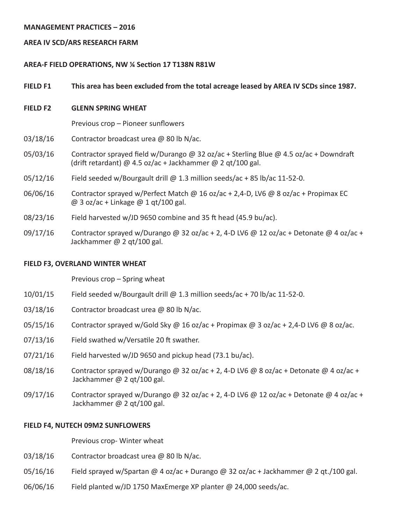### **MANAGEMENT PRACTICES – 2016**

### **AREA IV SCD/ARS RESEARCH FARM**

### **AREA-F FIELD OPERATIONS, NW ¼ Section 17 T138N R81W**

### **FIELD F1 This area has been excluded from the total acreage leased by AREA IV SCDs since 1987.**

### **FIELD F2 GLENN SPRING WHEAT**

 Previous crop – Pioneer sunflowers

- 03/18/16 Contractor broadcast urea  $\omega$  80 lb N/ac.
- 05/03/16 Contractor sprayed field w/Durango @ 32 oz/ac + Sterling Blue @ 4.5 oz/ac + Downdraft (drift retardant) @ 4.5 oz/ac + Jackhammer @ 2 qt/100 gal.
- $05/12/16$  Field seeded w/Bourgault drill @ 1.3 million seeds/ac + 85 lb/ac 11-52-0.
- 06/06/16 Contractor sprayed w/Perfect Match @ 16 oz/ac + 2,4-D, LV6 @ 8 oz/ac + Propimax EC @ 3 oz/ac + Linkage @ 1 qt/100 gal.
- $08/23/16$  Field harvested w/JD 9650 combine and 35 ft head (45.9 bu/ac).
- 09/17/16 Contractor sprayed w/Durango @ 32 oz/ac + 2, 4-D LV6 @ 12 oz/ac + Detonate @ 4 oz/ac + Jackhammer @ 2 qt/100 gal.

#### **FIELD F3, OVERLAND WINTER WHEAT**

 Previous crop – Spring wheat

- 10/01/15 Field seeded w/Bourgault drill  $@$  1.3 million seeds/ac + 70 lb/ac 11-52-0.
- 03/18/16 Contractor broadcast urea @ 80 lb N/ac.
- 05/15/16 Contractor sprayed w/Gold Sky @ 16 oz/ac + Propimax @ 3 oz/ac + 2,4-D LV6 @ 8 oz/ac.
- 07/13/16 Field swathed w/Versatile 20 ft swather.
- $07/21/16$  Field harvested w/JD 9650 and pickup head (73.1 bu/ac).
- 08/18/16 Contractor sprayed w/Durango @ 32 oz/ac + 2, 4-D LV6 @ 8 oz/ac + Detonate @ 4 oz/ac + Jackhammer @ 2 qt/100 gal.
- 09/17/16 Contractor sprayed w/Durango @ 32 oz/ac + 2, 4-D LV6 @ 12 oz/ac + Detonate @ 4 oz/ac + Jackhammer @ 2 qt/100 gal.

#### **FIELD F4, NUTECH 09M2 SUNFLOWERS**

 Previous crop- Winter wheat

- 03/18/16 Contractor broadcast urea  $\omega$  80 lb N/ac.
- $05/16/16$  Field sprayed w/Spartan @ 4 oz/ac + Durango @ 32 oz/ac + Jackhammer @ 2 qt./100 gal.
- 06/06/16 Field planted w/JD 1750 MaxEmerge XP planter @ 24,000 seeds/ac.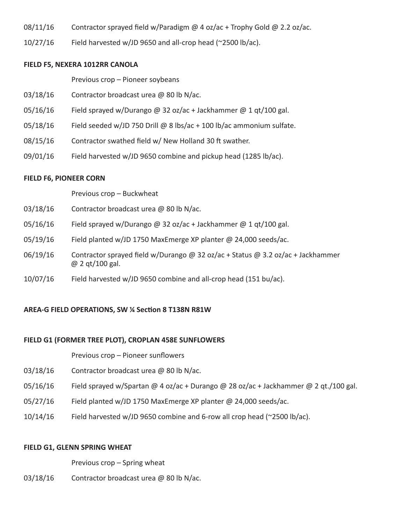- 08/11/16 Contractor sprayed field w/Paradigm  $@$  4 oz/ac + Trophy Gold  $@$  2.2 oz/ac.
- $10/27/16$  Field harvested w/JD 9650 and all-crop head (~2500 lb/ac).

### **FIELD F5, NEXERA 1012RR CANOLA**

Previous crop – Pioneer soybeans

- 03/18/16 Contractor broadcast urea @ 80 lb N/ac.
- 05/16/16 Field sprayed w/Durango @ 32 oz/ac + Jackhammer @ 1 qt/100 gal.
- $05/18/16$  Field seeded w/JD 750 Drill @ 8 lbs/ac + 100 lb/ac ammonium sulfate.
- 08/15/16 Contractor swathed field w/ New Holland 30 ft swather.
- 09/01/16 Field harvested w/JD 9650 combine and pickup head (1285 lb/ac).

### **FIELD F6, PIONEER CORN**

 Previous crop – Buckwheat

- 03/18/16 Contractor broadcast urea  $\omega$  80 lb N/ac.
- 05/16/16 Field sprayed w/Durango @ 32 oz/ac + Jackhammer @ 1 qt/100 gal.
- 05/19/16 Field planted w/JD 1750 MaxEmerge XP planter @ 24,000 seeds/ac.
- 06/19/16 Contractor sprayed field w/Durango @ 32 oz/ac + Status @ 3.2 oz/ac + Jackhammer @ 2 qt/100 gal.
- 10/07/16 Field harvested w/JD 9650 combine and all-crop head (151 bu/ac).

## **AREA-G FIELD OPERATIONS, SW ¼ Section 8 T138N R81W**

### **FIELD G1 (FORMER TREE PLOT), CROPLAN 458E SUNFLOWERS**

 Previous crop – Pioneer sunflowers

- 03/18/16 Contractor broadcast urea @ 80 lb N/ac.
- $05/16/16$  Field sprayed w/Spartan @ 4 oz/ac + Durango @ 28 oz/ac + Jackhammer @ 2 qt./100 gal.
- 05/27/16 Field planted w/JD 1750 MaxEmerge XP planter @ 24,000 seeds/ac.
- $10/14/16$  Field harvested w/JD 9650 combine and 6-row all crop head ( $\approx$ 2500 lb/ac).

### **FIELD G1, GLENN SPRING WHEAT**

 Previous crop – Spring wheat

03/18/16 Contractor broadcast urea @ 80 lb N/ac.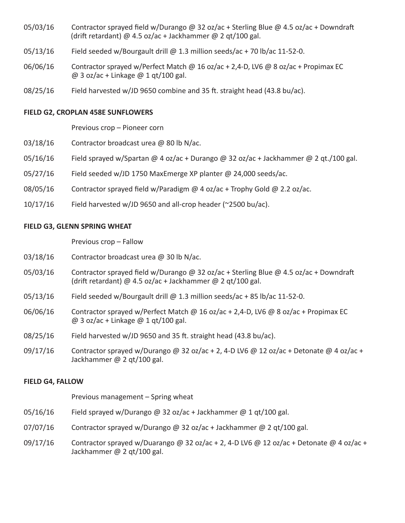- 05/03/16 Contractor sprayed field w/Durango @ 32 oz/ac + Sterling Blue @ 4.5 oz/ac + Downdraft (drift retardant) @ 4.5 oz/ac + Jackhammer @ 2 qt/100 gal.
- $05/13/16$  Field seeded w/Bourgault drill @ 1.3 million seeds/ac + 70 lb/ac 11-52-0.
- 06/06/16 Contractor sprayed w/Perfect Match @ 16 oz/ac + 2,4-D, LV6 @ 8 oz/ac + Propimax EC  $@$  3 oz/ac + Linkage  $@$  1 qt/100 gal.
- 08/25/16 Field harvested w/JD 9650 combine and 35 ft. straight head (43.8 bu/ac).

### **FIELD G2, CROPLAN 458E SUNFLOWERS**

Previous crop – Pioneer corn

- 03/18/16 Contractor broadcast urea  $\omega$  80 lb N/ac.
- 05/16/16 Field sprayed w/Spartan @ 4 oz/ac + Durango @ 32 oz/ac + Jackhammer @ 2 qt./100 gal.
- 05/27/16 Field seeded w/JD 1750 MaxEmerge XP planter @ 24,000 seeds/ac.
- 08/05/16 Contractor sprayed field w/Paradigm  $@$  4 oz/ac + Trophy Gold  $@$  2.2 oz/ac.
- 10/17/16 Field harvested w/JD 9650 and all-crop header (~2500 bu/ac).

### **FIELD G3, GLENN SPRING WHEAT**

 Previous crop – Fallow

- 03/18/16 Contractor broadcast urea  $\omega$  30 lb N/ac.
- 05/03/16 Contractor sprayed field w/Durango @ 32 oz/ac + Sterling Blue @ 4.5 oz/ac + Downdraft (drift retardant) @ 4.5 oz/ac + Jackhammer @ 2 qt/100 gal.
- $05/13/16$  Field seeded w/Bourgault drill @ 1.3 million seeds/ac + 85 lb/ac 11-52-0.
- 06/06/16 Contractor sprayed w/Perfect Match @ 16 oz/ac + 2,4-D, LV6 @ 8 oz/ac + Propimax EC  $@$  3 oz/ac + Linkage  $@$  1 gt/100 gal.
- $08/25/16$  Field harvested w/JD 9650 and 35 ft. straight head (43.8 bu/ac).
- 09/17/16 Contractor sprayed w/Durango @ 32 oz/ac + 2, 4-D LV6 @ 12 oz/ac + Detonate @ 4 oz/ac + Jackhammer @ 2 qt/100 gal.

### **FIELD G4, FALLOW**

 Previous management – Spring wheat

- 05/16/16 Field sprayed w/Durango @ 32 oz/ac + Jackhammer @ 1 qt/100 gal.
- 07/07/16 Contractor sprayed w/Durango @ 32 oz/ac + Jackhammer @ 2 qt/100 gal.
- 09/17/16 Contractor sprayed w/Duarango @ 32 oz/ac + 2, 4-D LV6 @ 12 oz/ac + Detonate @ 4 oz/ac + Jackhammer @ 2 qt/100 gal.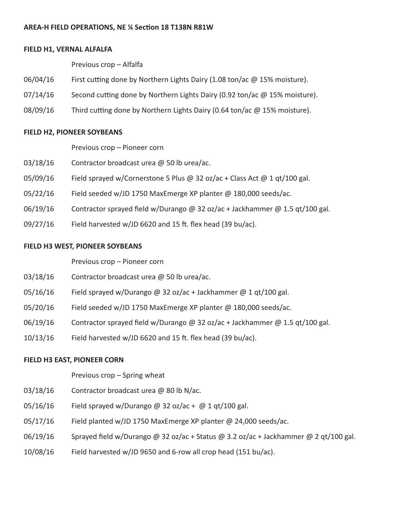## **FIELD H1, VERNAL ALFALFA**

 Previous crop – Alfalfa

- 06/04/16 First cutting done by Northern Lights Dairy (1.08 ton/ac @ 15% moisture).
- $07/14/16$  Second cutting done by Northern Lights Dairy (0.92 ton/ac  $\omega$  15% moisture).
- 08/09/16 Third cutting done by Northern Lights Dairy (0.64 ton/ac @ 15% moisture).

# **FIELD H2, PIONEER SOYBEANS**

Previous crop – Pioneer corn

- 03/18/16 Contractor broadcast urea @ 50 lb urea/ac.
- 05/09/16 Field sprayed w/Cornerstone 5 Plus @ 32 oz/ac + Class Act @ 1 qt/100 gal.
- 05/22/16 Field seeded w/JD 1750 MaxEmerge XP planter @ 180,000 seeds/ac.
- 06/19/16 Contractor sprayed field w/Durango @ 32 oz/ac + Jackhammer @ 1.5 qt/100 gal.
- $09/27/16$  Field harvested w/JD 6620 and 15 ft. flex head (39 bu/ac).

# **FIELD H3 WEST, PIONEER SOYBEANS**

Previous crop – Pioneer corn

- 03/18/16 Contractor broadcast urea @ 50 lb urea/ac.
- 05/16/16 Field sprayed w/Durango @ 32 oz/ac + Jackhammer @ 1 qt/100 gal.
- 05/20/16 Field seeded w/JD 1750 MaxEmerge XP planter @ 180,000 seeds/ac.
- 06/19/16 Contractor sprayed field w/Durango @ 32 oz/ac + Jackhammer @ 1.5 qt/100 gal.
- $10/13/16$  Field harvested w/JD 6620 and 15 ft. flex head (39 bu/ac).

# **FIELD H3 EAST, PIONEER CORN**

# Previous crop – Spring wheat

- 03/18/16 Contractor broadcast urea @ 80 lb N/ac.
- $05/16/16$  Field sprayed w/Durango @ 32 oz/ac + @ 1 qt/100 gal.
- 05/17/16 Field planted w/JD 1750 MaxEmerge XP planter @ 24,000 seeds/ac.
- 06/19/16 Sprayed field w/Durango @ 32 oz/ac + Status @ 3.2 oz/ac + Jackhammer @ 2 qt/100 gal.
- 10/08/16 Field harvested w/JD 9650 and 6-row all crop head (151 bu/ac).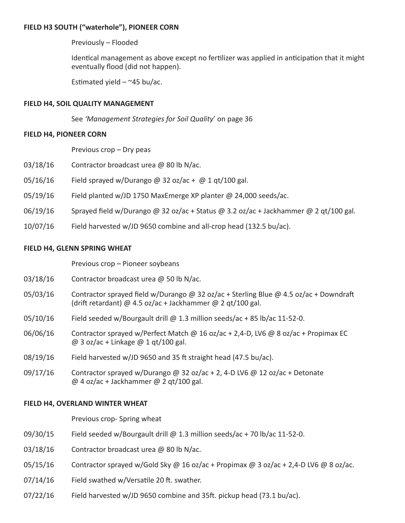## **FIELD H3 SOUTH ("waterhole"), PIONEER CORN**

 Previously – Flooded

 Identical management as above except no fertilizer was applied in anticipation that it might eventually flood (did not happen).

Estimated yield  $-$  ~45 bu/ac.

### **FIELD H4, SOIL QUALITY MANAGEMENT**

 See *'Management Strategies for Soil Quality*' on page 36

### **FIELD H4, PIONEER CORN**

 Previous crop – Dry peas

- 03/18/16 Contractor broadcast urea @ 80 lb N/ac.
- $05/16/16$  Field sprayed w/Durango @ 32 oz/ac + @ 1 qt/100 gal.
- 05/19/16 Field planted w/JD 1750 MaxEmerge XP planter @ 24,000 seeds/ac.
- $06/19/16$  Sprayed field w/Durango @ 32 oz/ac + Status @ 3.2 oz/ac + Jackhammer @ 2 qt/100 gal.
- 10/07/16 Field harvested w/JD 9650 combine and all-crop head (132.5 bu/ac).

### **FIELD H4, GLENN SPRING WHEAT**

Previous crop – Pioneer soybeans

- 03/18/16 Contractor broadcast urea  $\omega$  50 lb N/ac.
- 05/03/16 Contractor sprayed field w/Durango @ 32 oz/ac + Sterling Blue @ 4.5 oz/ac + Downdraft (drift retardant) @ 4.5 oz/ac + Jackhammer @ 2 qt/100 gal.
- $05/10/16$  Field seeded w/Bourgault drill @ 1.3 million seeds/ac + 85 lb/ac 11-52-0.
- 06/06/16 Contractor sprayed w/Perfect Match @ 16 oz/ac + 2,4-D, LV6 @ 8 oz/ac + Propimax EC  $@$  3 oz/ac + Linkage  $@$  1 gt/100 gal.
- $08/19/16$  Field harvested w/JD 9650 and 35 ft straight head (47.5 bu/ac).
- 09/17/16 Contractor sprayed w/Durango @ 32 oz/ac + 2, 4-D LV6 @ 12 oz/ac + Detonate @ 4 oz/ac + Jackhammer @ 2 qt/100 gal.

### **FIELD H4, OVERLAND WINTER WHEAT**

 Previous crop- Spring wheat

- $09/30/15$  Field seeded w/Bourgault drill @ 1.3 million seeds/ac + 70 lb/ac 11-52-0.
- 03/18/16 Contractor broadcast urea  $\omega$  80 lb N/ac.
- 05/15/16 Contractor sprayed w/Gold Sky @ 16 oz/ac + Propimax @ 3 oz/ac + 2,4-D LV6 @ 8 oz/ac.
- 07/14/16 Field swathed w/Versatile 20 ft. swather.
- $07/22/16$  Field harvested w/JD 9650 combine and 35ft. pickup head (73.1 bu/ac).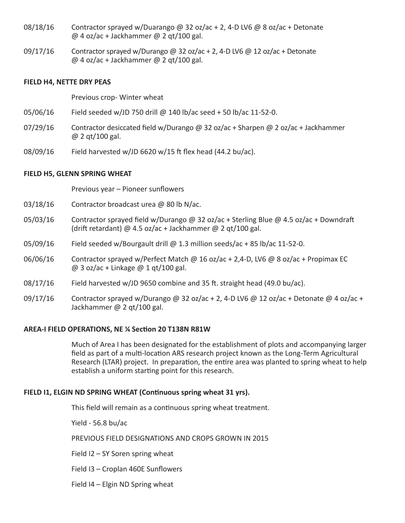- 08/18/16 Contractor sprayed w/Duarango @ 32 oz/ac + 2, 4-D LV6 @ 8 oz/ac + Detonate @ 4 oz/ac + Jackhammer @ 2 qt/100 gal.
- 09/17/16 Contractor sprayed w/Durango @ 32 oz/ac + 2, 4-D LV6 @ 12 oz/ac + Detonate  $@$  4 oz/ac + Jackhammer  $@$  2 qt/100 gal.

### **FIELD H4, NETTE DRY PEAS**

 Previous crop- Winter wheat

- 05/06/16 Field seeded w/JD 750 drill @ 140 lb/ac seed + 50 lb/ac 11-52-0.
- 07/29/16 Contractor desiccated field w/Durango @ 32 oz/ac + Sharpen @ 2 oz/ac + Jackhammer @ 2 qt/100 gal.
- 08/09/16 Field harvested w/JD 6620 w/15 ft flex head (44.2 bu/ac).

## **FIELD H5, GLENN SPRING WHEAT**

 Previous year – Pioneer sunflowers

- 03/18/16 Contractor broadcast urea @ 80 lb N/ac.
- 05/03/16 Contractor sprayed field w/Durango @ 32 oz/ac + Sterling Blue @ 4.5 oz/ac + Downdraft (drift retardant) @ 4.5 oz/ac + Jackhammer @ 2 qt/100 gal.
- 05/09/16 Field seeded w/Bourgault drill  $\varpi$  1.3 million seeds/ac + 85 lb/ac 11-52-0.
- 06/06/16 Contractor sprayed w/Perfect Match  $\omega$  16 oz/ac + 2,4-D, LV6  $\omega$  8 oz/ac + Propimax EC  $\omega$  3 oz/ac + Linkage  $\omega$  1 gt/100 gal.
- 08/17/16 Field harvested w/JD 9650 combine and 35 ft. straight head (49.0 bu/ac).
- 09/17/16 Contractor sprayed w/Durango @ 32 oz/ac + 2, 4-D LV6 @ 12 oz/ac + Detonate @ 4 oz/ac + Jackhammer @ 2 qt/100 gal.

## **AREA-I FIELD OPERATIONS, NE ¼ Section 20 T138N R81W**

 Much of Area I has been designated for the establishment of plots and accompanying larger field as part of a multi-location ARS research project known as the Long-Term Agricultural Research (LTAR) project. In preparation, the entire area was planted to spring wheat to help establish a uniform starting point for this research.

## **FIELD I1, ELGIN ND SPRING WHEAT (Continuous spring wheat 31 yrs).**

 This field will remain as a continuous spring wheat treatment.

 Yield - 56.8 bu/ac

 PREVIOUS FIELD DESIGNATIONS AND CROPS GROWN IN 2015

 Field I2 – SY Soren spring wheat

 Field I3 – Croplan 460E Sunflowers

 Field I4 – Elgin ND Spring wheat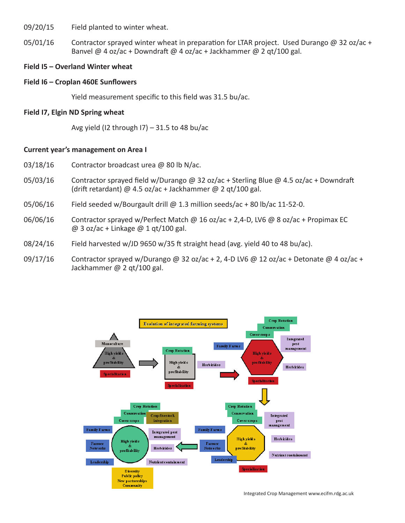09/20/15 Field planted to winter wheat.

 $05/01/16$  Contractor sprayed winter wheat in preparation for LTAR project. Used Durango @ 32 oz/ac + Banvel @ 4 oz/ac + Downdraft @ 4 oz/ac + Jackhammer @ 2 qt/100 gal.

### **Field I5 – Overland Winter wheat**

### **Field I6 – Croplan 460E Sunflowers**

 Yield measurement specific to this field was 31.5 bu/ac.

### **Field I7, Elgin ND Spring wheat**

Avg yield (I2 through  $|7) - 31.5$  to 48 bu/ac

### **Current year's management on Area I**

- 03/18/16 Contractor broadcast urea @ 80 lb N/ac.
- 05/03/16 Contractor sprayed field w/Durango @ 32 oz/ac + Sterling Blue @ 4.5 oz/ac + Downdraft (drift retardant) @ 4.5 oz/ac + Jackhammer @ 2 qt/100 gal.
- 05/06/16 Field seeded w/Bourgault drill  $\omega$  1.3 million seeds/ac + 80 lb/ac 11-52-0.
- 06/06/16 Contractor sprayed w/Perfect Match @ 16 oz/ac + 2,4-D, LV6 @ 8 oz/ac + Propimax EC  $@$  3 oz/ac + Linkage  $@$  1 qt/100 gal.
- $08/24/16$  Field harvested w/JD 9650 w/35 ft straight head (avg. yield 40 to 48 bu/ac).
- 09/17/16 Contractor sprayed w/Durango @ 32 oz/ac + 2, 4-D LV6 @ 12 oz/ac + Detonate @ 4 oz/ac + Jackhammer @ 2 qt/100 gal.